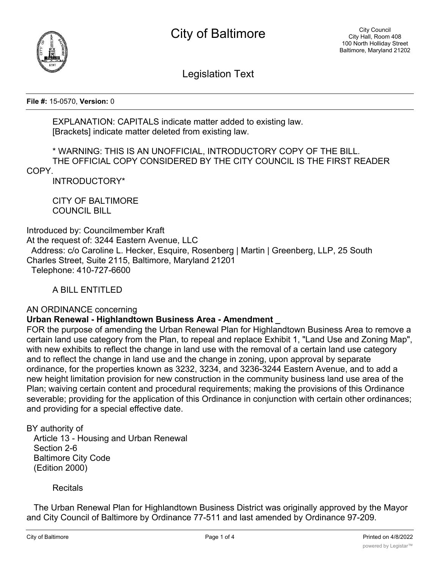



Legislation Text

**File #:** 15-0570, **Version:** 0

EXPLANATION: CAPITALS indicate matter added to existing law. [Brackets] indicate matter deleted from existing law.

\* WARNING: THIS IS AN UNOFFICIAL, INTRODUCTORY COPY OF THE BILL. THE OFFICIAL COPY CONSIDERED BY THE CITY COUNCIL IS THE FIRST READER COPY.

INTRODUCTORY\*

CITY OF BALTIMORE COUNCIL BILL

Introduced by: Councilmember Kraft At the request of: 3244 Eastern Avenue, LLC Address: c/o Caroline L. Hecker, Esquire, Rosenberg | Martin | Greenberg, LLP, 25 South Charles Street, Suite 2115, Baltimore, Maryland 21201 Telephone: 410-727-6600

A BILL ENTITLED

AN ORDINANCE concerning

## **Urban Renewal - Highlandtown Business Area - Amendment \_**

FOR the purpose of amending the Urban Renewal Plan for Highlandtown Business Area to remove a certain land use category from the Plan, to repeal and replace Exhibit 1, "Land Use and Zoning Map", with new exhibits to reflect the change in land use with the removal of a certain land use category and to reflect the change in land use and the change in zoning, upon approval by separate ordinance, for the properties known as 3232, 3234, and 3236-3244 Eastern Avenue, and to add a new height limitation provision for new construction in the community business land use area of the Plan; waiving certain content and procedural requirements; making the provisions of this Ordinance severable; providing for the application of this Ordinance in conjunction with certain other ordinances; and providing for a special effective date.

BY authority of

 Article 13 - Housing and Urban Renewal Section 2-6 Baltimore City Code (Edition 2000)

**Recitals** 

 The Urban Renewal Plan for Highlandtown Business District was originally approved by the Mayor and City Council of Baltimore by Ordinance 77-511 and last amended by Ordinance 97-209.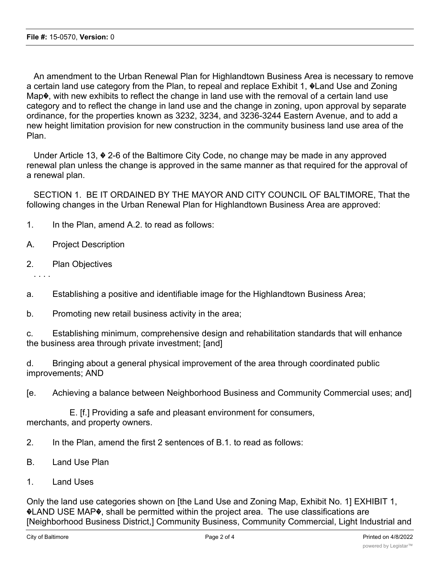An amendment to the Urban Renewal Plan for Highlandtown Business Area is necessary to remove a certain land use category from the Plan, to repeal and replace Exhibit 1, �Land Use and Zoning Map $\lozenge$ , with new exhibits to reflect the change in land use with the removal of a certain land use category and to reflect the change in land use and the change in zoning, upon approval by separate ordinance, for the properties known as 3232, 3234, and 3236-3244 Eastern Avenue, and to add a new height limitation provision for new construction in the community business land use area of the Plan.

 Under Article 13, � 2-6 of the Baltimore City Code, no change may be made in any approved renewal plan unless the change is approved in the same manner as that required for the approval of a renewal plan.

 SECTION 1. BE IT ORDAINED BY THE MAYOR AND CITY COUNCIL OF BALTIMORE, That the following changes in the Urban Renewal Plan for Highlandtown Business Area are approved:

- 1. In the Plan, amend A.2. to read as follows:
- A. Project Description
- 2. Plan Objectives

- a. Establishing a positive and identifiable image for the Highlandtown Business Area;
- b. Promoting new retail business activity in the area;

c. Establishing minimum, comprehensive design and rehabilitation standards that will enhance the business area through private investment; [and]

d. Bringing about a general physical improvement of the area through coordinated public improvements; AND

[e. Achieving a balance between Neighborhood Business and Community Commercial uses; and]

 E. [f.] Providing a safe and pleasant environment for consumers, merchants, and property owners.

- 2. In the Plan, amend the first 2 sentences of B.1. to read as follows:
- B. Land Use Plan
- 1. Land Uses

Only the land use categories shown on [the Land Use and Zoning Map, Exhibit No. 1] EXHIBIT 1, �LAND USE MAP�, shall be permitted within the project area. The use classifications are [Neighborhood Business District,] Community Business, Community Commercial, Light Industrial and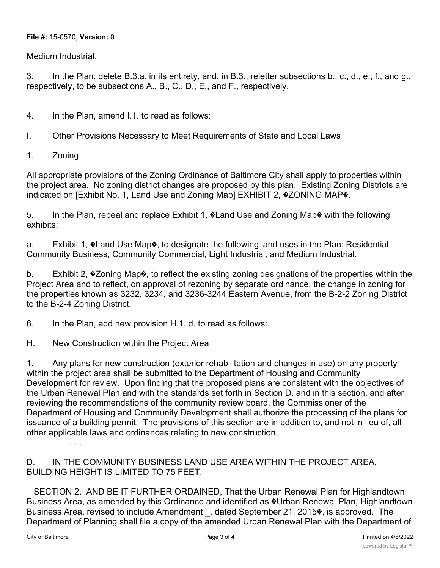## **File #:** 15-0570, **Version:** 0

Medium Industrial.

3. In the Plan, delete B.3.a. in its entirety, and, in B.3., reletter subsections b., c., d., e., f., and g., respectively, to be subsections A., B., C., D., E., and F., respectively.

4. In the Plan, amend I.1. to read as follows:

I. Other Provisions Necessary to Meet Requirements of State and Local Laws

1. Zoning

All appropriate provisions of the Zoning Ordinance of Baltimore City shall apply to properties within the project area. No zoning district changes are proposed by this plan. Existing Zoning Districts are indicated on [Exhibit No. 1, Land Use and Zoning Map] EXHIBIT 2, �ZONING MAP�.

5. In the Plan, repeal and replace Exhibit 1, �Land Use and Zoning Map� with the following exhibits:

a. Exhibit 1, �Land Use Map�, to designate the following land uses in the Plan: Residential, Community Business, Community Commercial, Light Industrial, and Medium Industrial.

b. Exhibit 2, �Zoning Map�, to reflect the existing zoning designations of the properties within the Project Area and to reflect, on approval of rezoning by separate ordinance, the change in zoning for the properties known as 3232, 3234, and 3236-3244 Eastern Avenue, from the B-2-2 Zoning District to the B-2-4 Zoning District.

6. In the Plan, add new provision H.1. d. to read as follows:

H. New Construction within the Project Area

1. Any plans for new construction (exterior rehabilitation and changes in use) on any property within the project area shall be submitted to the Department of Housing and Community Development for review. Upon finding that the proposed plans are consistent with the objectives of the Urban Renewal Plan and with the standards set forth in Section D. and in this section, and after reviewing the recommendations of the community review board, the Commissioner of the Department of Housing and Community Development shall authorize the processing of the plans for issuance of a building permit. The provisions of this section are in addition to, and not in lieu of, all other applicable laws and ordinances relating to new construction.

. . . .

D. IN THE COMMUNITY BUSINESS LAND USE AREA WITHIN THE PROJECT AREA, BUILDING HEIGHT IS LIMITED TO 75 FEET.

 SECTION 2. AND BE IT FURTHER ORDAINED, That the Urban Renewal Plan for Highlandtown Business Area, as amended by this Ordinance and identified as  $\ddot{\textbf{v}}$ Urban Renewal Plan, Highlandtown Business Area, revised to include Amendment, dated September 21, 2015 $\blacklozenge$ , is approved. The Department of Planning shall file a copy of the amended Urban Renewal Plan with the Department of